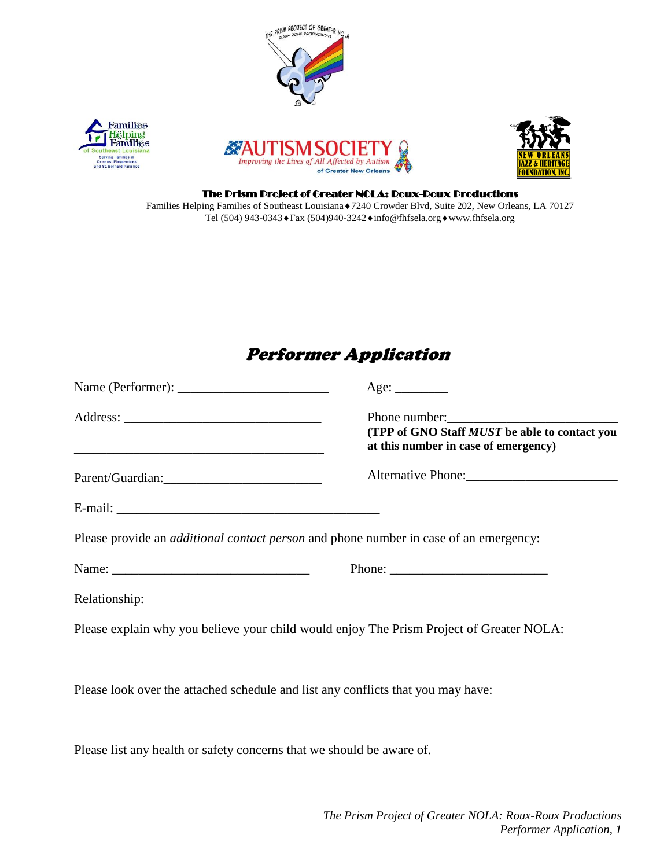

## Performer Application

|                                                                                              | Age:                                                                                                                                                                                                                                                                                                                                                                                                         |
|----------------------------------------------------------------------------------------------|--------------------------------------------------------------------------------------------------------------------------------------------------------------------------------------------------------------------------------------------------------------------------------------------------------------------------------------------------------------------------------------------------------------|
| <u> 1989 - Johann Barbara, martxa alemaniar arg</u>                                          | (TPP of GNO Staff <i>MUST</i> be able to contact you<br>at this number in case of emergency)                                                                                                                                                                                                                                                                                                                 |
|                                                                                              | Alternative Phone:                                                                                                                                                                                                                                                                                                                                                                                           |
|                                                                                              |                                                                                                                                                                                                                                                                                                                                                                                                              |
| Please provide an <i>additional contact person</i> and phone number in case of an emergency: |                                                                                                                                                                                                                                                                                                                                                                                                              |
|                                                                                              | Phone: $\frac{1}{\sqrt{1-\frac{1}{2}}\sqrt{1-\frac{1}{2}}\sqrt{1-\frac{1}{2}}\sqrt{1-\frac{1}{2}}\sqrt{1-\frac{1}{2}}\sqrt{1-\frac{1}{2}}\sqrt{1-\frac{1}{2}}\sqrt{1-\frac{1}{2}}\sqrt{1-\frac{1}{2}}\sqrt{1-\frac{1}{2}}\sqrt{1-\frac{1}{2}}\sqrt{1-\frac{1}{2}}\sqrt{1-\frac{1}{2}}\sqrt{1-\frac{1}{2}}\sqrt{1-\frac{1}{2}}\sqrt{1-\frac{1}{2}}\sqrt{1-\frac{1}{2}}\sqrt{1-\frac{1}{2}}\sqrt{1-\frac{1}{2$ |
|                                                                                              |                                                                                                                                                                                                                                                                                                                                                                                                              |
| Please explain why you believe your child would enjoy The Prism Project of Greater NOLA:     |                                                                                                                                                                                                                                                                                                                                                                                                              |
| Please look over the attached schedule and list any conflicts that you may have:             |                                                                                                                                                                                                                                                                                                                                                                                                              |

Please list any health or safety concerns that we should be aware of.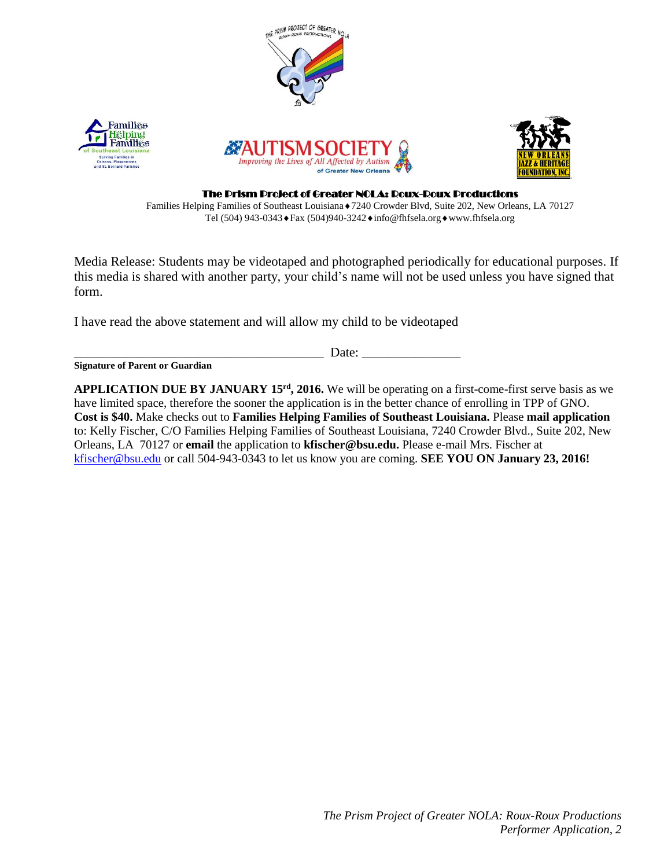

Families Helping Families of Southeast Louisiana◆7240 Crowder Blvd, Suite 202, New Orleans, LA 70127 Tel (504) 943-0343 ♦ Fax (504) 940-3242 ♦ info@fhfsela.org ♦ www.fhfsela.org

Media Release: Students may be videotaped and photographed periodically for educational purposes. If this media is shared with another party, your child's name will not be used unless you have signed that form.

I have read the above statement and will allow my child to be videotaped

\_\_\_\_\_\_\_\_\_\_\_\_\_\_\_\_\_\_\_\_\_\_\_\_\_\_\_\_\_\_\_\_\_\_\_\_\_\_ Date: \_\_\_\_\_\_\_\_\_\_\_\_\_\_\_

**Signature of Parent or Guardian** 

**APPLICATION DUE BY JANUARY 15rd, 2016.** We will be operating on a first-come-first serve basis as we have limited space, therefore the sooner the application is in the better chance of enrolling in TPP of GNO. **Cost is \$40.** Make checks out to **Families Helping Families of Southeast Louisiana.** Please **mail application**  to: Kelly Fischer, C/O Families Helping Families of Southeast Louisiana, 7240 Crowder Blvd., Suite 202, New Orleans, LA 70127 or **email** the application to **kfischer@bsu.edu.** Please e-mail Mrs. Fischer at [kfischer@bsu.edu](mailto:kfischer@bsu.edu) or call 504-943-0343 to let us know you are coming. **SEE YOU ON January 23, 2016!**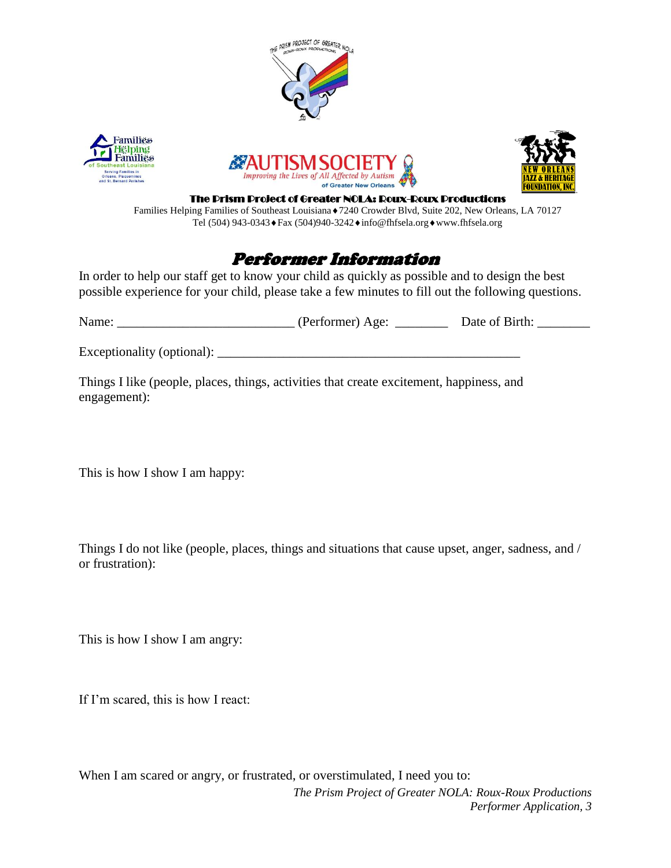







The Prism Project of Greater NOLA: Roux-Roux Productions

Families Helping Families of Southeast Louisiana ♦7240 Crowder Blvd, Suite 202, New Orleans, LA 70127 Tel (504) 943-0343 ♦ Fax (504) 940-3242 ♦ info@fhfsela.org ♦ www.fhfsela.org

## Performer Information

In order to help our staff get to know your child as quickly as possible and to design the best possible experience for your child, please take a few minutes to fill out the following questions.

| Name:                      | (Performer) Age: | Date of Birth: |  |
|----------------------------|------------------|----------------|--|
| Exceptionality (optional): |                  |                |  |

Things I like (people, places, things, activities that create excitement, happiness, and engagement):

This is how I show I am happy:

Things I do not like (people, places, things and situations that cause upset, anger, sadness, and / or frustration):

This is how I show I am angry:

If I'm scared, this is how I react:

*The Prism Project of Greater NOLA: Roux-Roux Productions Performer Application, 3* When I am scared or angry, or frustrated, or overstimulated, I need you to: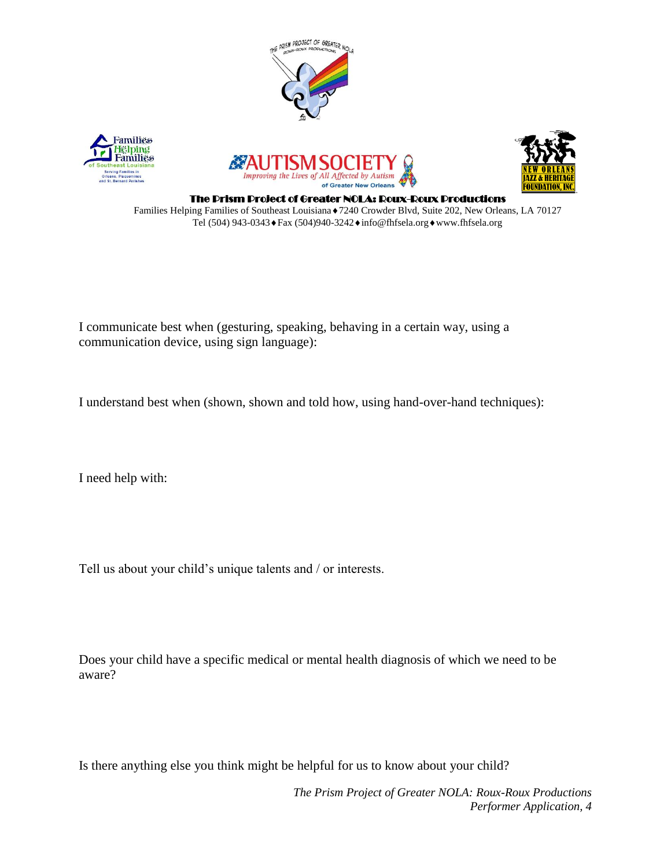







The Prism Project of Greater NOLA: Roux-Roux Productions Families Helping Families of Southeast Louisiana ♦7240 Crowder Blvd, Suite 202, New Orleans, LA 70127 Tel (504) 943-0343 ♦ Fax (504) 940-3242 ♦ info@fhfsela.org ♦ www.fhfsela.org

I communicate best when (gesturing, speaking, behaving in a certain way, using a communication device, using sign language):

I understand best when (shown, shown and told how, using hand-over-hand techniques):

I need help with:

Tell us about your child's unique talents and / or interests.

Does your child have a specific medical or mental health diagnosis of which we need to be aware?

Is there anything else you think might be helpful for us to know about your child?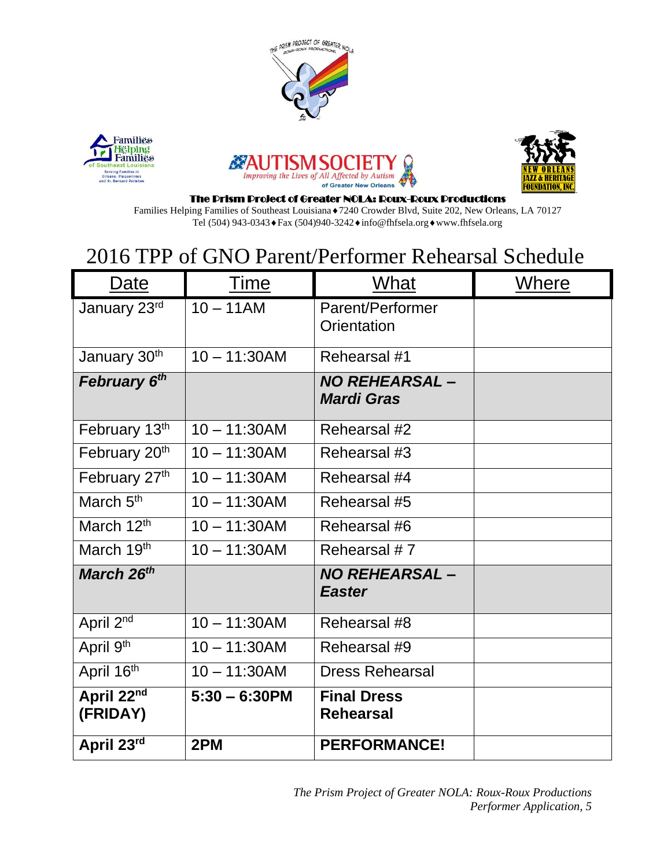







#### The Prism Project of Greater NOLA: Roux-Roux Productions

Families Helping Families of Southeast Louisiana◆7240 Crowder Blvd, Suite 202, New Orleans, LA 70127 Tel (504) 943-0343 ♦ Fax (504) 940-3242 ♦ info@fhfsela.org ♦ www.fhfsela.org

# 2016 TPP of GNO Parent/Performer Rehearsal Schedule

| Date                   | Time             | What                                       | Where |
|------------------------|------------------|--------------------------------------------|-------|
| January 23rd           | $10 - 11AM$      | Parent/Performer<br>Orientation            |       |
| January 30th           | $10 - 11:30AM$   | Rehearsal #1                               |       |
| February 6th           |                  | <b>NO REHEARSAL -</b><br><b>Mardi Gras</b> |       |
| February 13th          | $10 - 11:30AM$   | Rehearsal #2                               |       |
| February 20th          | $10 - 11:30AM$   | Rehearsal #3                               |       |
| February 27th          | $10 - 11:30AM$   | Rehearsal #4                               |       |
| March 5 <sup>th</sup>  | $10 - 11:30AM$   | Rehearsal #5                               |       |
| March 12th             | $10 - 11:30AM$   | Rehearsal #6                               |       |
| March 19 <sup>th</sup> | $10 - 11:30AM$   | Rehearsal #7                               |       |
| March 26 <sup>th</sup> |                  | <b>NO REHEARSAL –</b><br><b>Easter</b>     |       |
| April 2 <sup>nd</sup>  | $10 - 11:30AM$   | Rehearsal #8                               |       |
| April 9th              | $10 - 11:30AM$   | Rehearsal #9                               |       |
| April 16th             | $10 - 11:30AM$   | <b>Dress Rehearsal</b>                     |       |
| April 22nd<br>(FRIDAY) | $5:30 - 6:30$ PM | <b>Final Dress</b><br><b>Rehearsal</b>     |       |
| April 23rd             | 2PM              | <b>PERFORMANCE!</b>                        |       |